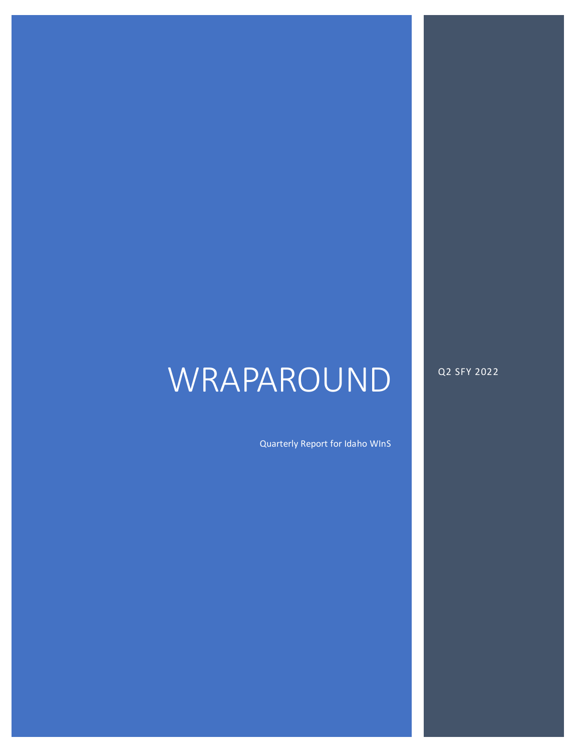# WRAPAROUND

Q2 SFY 2022

Quarterly Report for Idaho WInS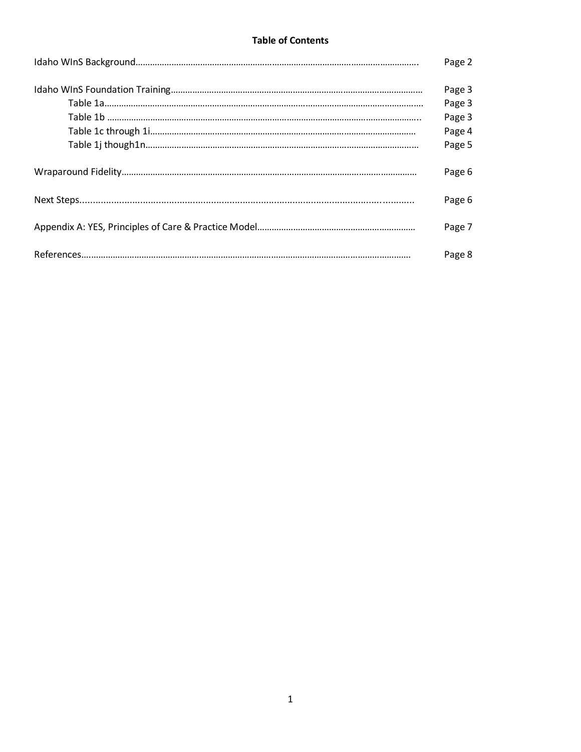## **Table of Contents**

| Page 2 |
|--------|
| Page 3 |
| Page 3 |
| Page 3 |
| Page 4 |
| Page 5 |
| Page 6 |
| Page 6 |
| Page 7 |
| Page 8 |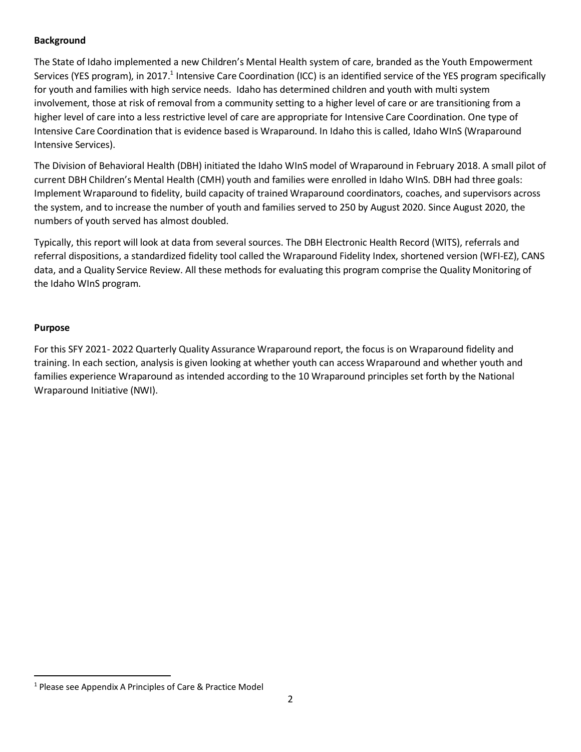## **Background**

The State of Idaho implemented a new Children's Mental Health system of care, branded as the Youth Empowerment Services (YES program), in 2017.<sup>1</sup> Intensive Care Coordination (ICC) is an identified service of the YES program specifically for youth and families with high service needs. Idaho has determined children and youth with multi system involvement, those at risk of removal from a community setting to a higher level of care or are transitioning from a higher level of care into a less restrictive level of care are appropriate for Intensive Care Coordination. One type of Intensive Care Coordination that is evidence based is Wraparound. In Idaho this is called, Idaho WInS (Wraparound Intensive Services).

The Division of Behavioral Health (DBH) initiated the Idaho WInS model of Wraparound in February 2018. A small pilot of current DBH Children's Mental Health (CMH) youth and families were enrolled in Idaho WInS. DBH had three goals: Implement Wraparound to fidelity, build capacity of trained Wraparound coordinators, coaches, and supervisors across the system, and to increase the number of youth and families served to 250 by August 2020. Since August 2020, the numbers of youth served has almost doubled.

Typically, this report will look at data from several sources. The DBH Electronic Health Record (WITS), referrals and referral dispositions, a standardized fidelity tool called the Wraparound Fidelity Index, shortened version (WFI-EZ), CANS data, and a Quality Service Review. All these methods for evaluating this program comprise the Quality Monitoring of the Idaho WInS program.

## **Purpose**

 $\overline{a}$ 

For this SFY 2021- 2022 Quarterly Quality Assurance Wraparound report, the focus is on Wraparound fidelity and training. In each section, analysis is given looking at whether youth can access Wraparound and whether youth and families experience Wraparound as intended according to the 10 Wraparound principles set forth by the National Wraparound Initiative (NWI).

<sup>1</sup> Please see Appendix A Principles of Care & Practice Model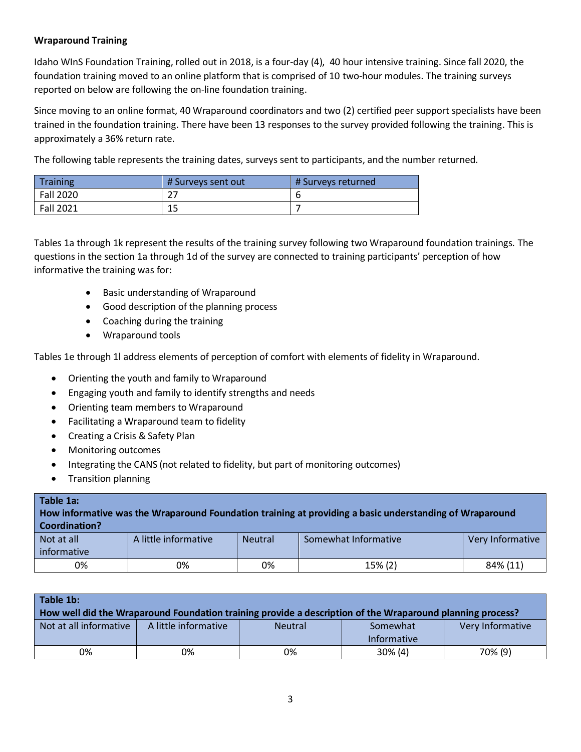## **Wraparound Training**

Idaho WInS Foundation Training, rolled out in 2018, is a four-day (4), 40 hour intensive training. Since fall 2020, the foundation training moved to an online platform that is comprised of 10 two-hour modules. The training surveys reported on below are following the on-line foundation training.

Since moving to an online format, 40 Wraparound coordinators and two (2) certified peer support specialists have been trained in the foundation training. There have been 13 responses to the survey provided following the training. This is approximately a 36% return rate.

The following table represents the training dates, surveys sent to participants, and the number returned.

| <b>Training</b>  | # Surveys sent out | # Surveys returned |
|------------------|--------------------|--------------------|
| <b>Fall 2020</b> | רר                 |                    |
| Fall 2021        | 1 E<br>⊥ఎ          |                    |

Tables 1a through 1k represent the results of the training survey following two Wraparound foundation trainings. The questions in the section 1a through 1d of the survey are connected to training participants' perception of how informative the training was for:

- Basic understanding of Wraparound
- Good description of the planning process
- Coaching during the training
- Wraparound tools

Tables 1e through 1l address elements of perception of comfort with elements of fidelity in Wraparound.

- Orienting the youth and family to Wraparound
- Engaging youth and family to identify strengths and needs
- Orienting team members to Wraparound
- Facilitating a Wraparound team to fidelity
- Creating a Crisis & Safety Plan
- Monitoring outcomes
- Integrating the CANS (not related to fidelity, but part of monitoring outcomes)
- Transition planning

| Table 1a:<br>How informative was the Wraparound Foundation training at providing a basic understanding of Wraparound<br><b>Coordination?</b> |                      |                |                      |                  |  |
|----------------------------------------------------------------------------------------------------------------------------------------------|----------------------|----------------|----------------------|------------------|--|
| Not at all<br>informative                                                                                                                    | A little informative | <b>Neutral</b> | Somewhat Informative | Very Informative |  |
| 0%                                                                                                                                           | 0%                   | 0%             | 15% (2)              | 84% (11)         |  |

| Table 1b:              |                      |                                                                                                           |                    |                  |
|------------------------|----------------------|-----------------------------------------------------------------------------------------------------------|--------------------|------------------|
|                        |                      | How well did the Wraparound Foundation training provide a description of the Wraparound planning process? |                    |                  |
| Not at all informative | A little informative | <b>Neutral</b>                                                                                            | Somewhat           | Very Informative |
|                        |                      |                                                                                                           | <b>Informative</b> |                  |
| 0%                     | 0%                   | 0%                                                                                                        | $30\%$ (4)         | 70% (9)          |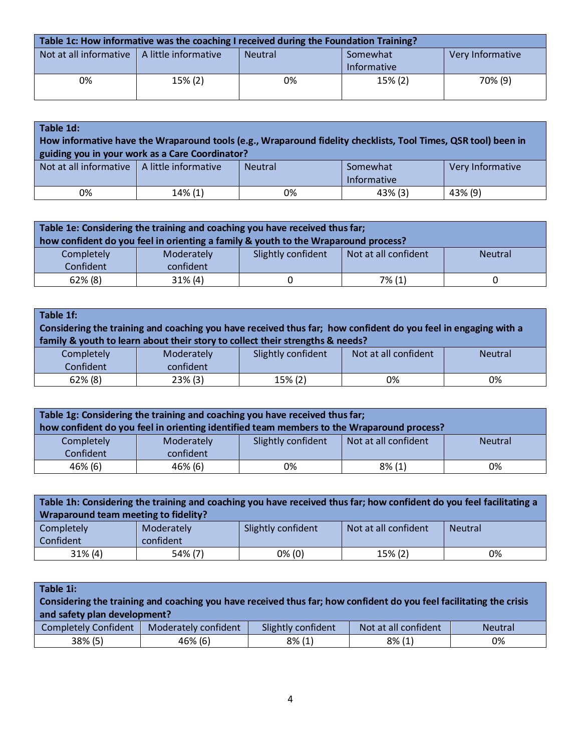| Table 1c: How informative was the coaching I received during the Foundation Training? |            |                |                         |                  |  |
|---------------------------------------------------------------------------------------|------------|----------------|-------------------------|------------------|--|
| Not at all informative $\parallel$ A little informative                               |            | <b>Neutral</b> | Somewhat<br>Informative | Very Informative |  |
| 0%                                                                                    | $15\% (2)$ | 0%             | 15% (2)                 | 70% (9)          |  |

| Table 1d:                                               | How informative have the Wraparound tools (e.g., Wraparound fidelity checklists, Tool Times, QSR tool) been in<br>guiding you in your work as a Care Coordinator? |                |                                |                  |
|---------------------------------------------------------|-------------------------------------------------------------------------------------------------------------------------------------------------------------------|----------------|--------------------------------|------------------|
| Not at all informative $\parallel$ A little informative |                                                                                                                                                                   | <b>Neutral</b> | Somewhat<br><b>Informative</b> | Very Informative |
| 0%                                                      | 14% (1)                                                                                                                                                           | 0%             | $43\%$ (3)                     | 43% (9)          |

| Table 1e: Considering the training and coaching you have received thus far;<br>how confident do you feel in orienting a family & youth to the Wraparound process? |  |  |  |  |  |  |
|-------------------------------------------------------------------------------------------------------------------------------------------------------------------|--|--|--|--|--|--|
| Not at all confident<br>Slightly confident<br>Completely<br>Moderately<br><b>Neutral</b>                                                                          |  |  |  |  |  |  |
| Confident<br>confident<br>$62\%$ (8)<br>31% (4)<br>7% (1)                                                                                                         |  |  |  |  |  |  |

| Table 1f:                                                                                                      |            |                                                                               |                      |                |
|----------------------------------------------------------------------------------------------------------------|------------|-------------------------------------------------------------------------------|----------------------|----------------|
| Considering the training and coaching you have received thus far; how confident do you feel in engaging with a |            |                                                                               |                      |                |
|                                                                                                                |            | family & youth to learn about their story to collect their strengths & needs? |                      |                |
| Completely                                                                                                     | Moderately | Slightly confident                                                            | Not at all confident | <b>Neutral</b> |
| Confident                                                                                                      | confident  |                                                                               |                      |                |
| $62\%$ (8)                                                                                                     | $23\%$ (3) | 15% (2)                                                                       | 0%                   | 0%             |

| Table 1g: Considering the training and coaching you have received thus far;<br>how confident do you feel in orienting identified team members to the Wraparound process? |                         |                    |                      |                |
|--------------------------------------------------------------------------------------------------------------------------------------------------------------------------|-------------------------|--------------------|----------------------|----------------|
| Completely<br>Confident                                                                                                                                                  | Moderately<br>confident | Slightly confident | Not at all confident | <b>Neutral</b> |
| 46% (6)                                                                                                                                                                  | 46% (6)                 | 0%                 | $8\%$ (1)            | 0%             |

| Table 1h: Considering the training and coaching you have received thus far; how confident do you feel facilitating a<br>Wraparound team meeting to fidelity? |                         |                    |                      |                |  |
|--------------------------------------------------------------------------------------------------------------------------------------------------------------|-------------------------|--------------------|----------------------|----------------|--|
| Completely<br>Confident                                                                                                                                      | Moderately<br>confident | Slightly confident | Not at all confident | <b>Neutral</b> |  |
| $31\%$ (4)                                                                                                                                                   | 54% (7)                 | $0\%$ (0)          | 15% (2)              | 0%             |  |

| Table 1i:                                                                                                           |                      |                    |                      |                |  |
|---------------------------------------------------------------------------------------------------------------------|----------------------|--------------------|----------------------|----------------|--|
| Considering the training and coaching you have received thus far; how confident do you feel facilitating the crisis |                      |                    |                      |                |  |
| and safety plan development?                                                                                        |                      |                    |                      |                |  |
| <b>Completely Confident</b>                                                                                         | Moderately confident | Slightly confident | Not at all confident | <b>Neutral</b> |  |
| 38% (5)                                                                                                             | 46% (6)              | $8\%$ (1)          | $8\%$ (1)            | 0%             |  |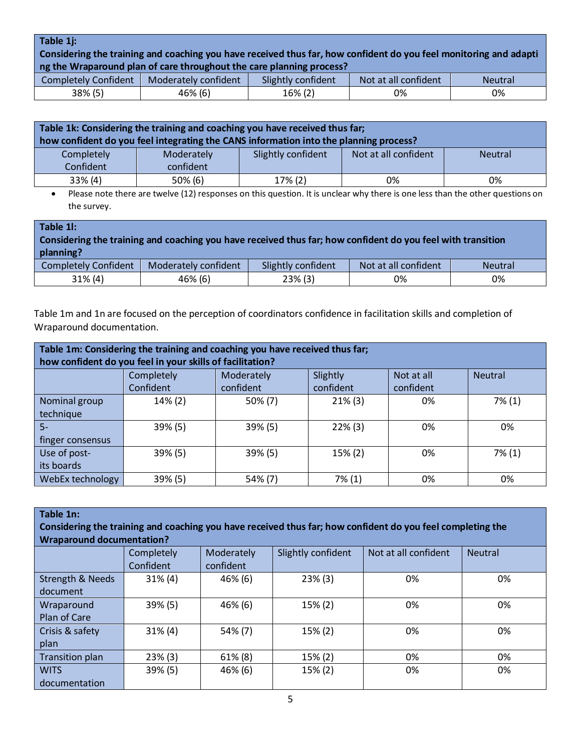#### **Table 1j:**

Considering the training and coaching you have received thus far, how confident do you feel monitoring and adapti **ng the Wraparound plan of care throughout the care planning process?**

|                            |                      | . .                   |                      |                |
|----------------------------|----------------------|-----------------------|----------------------|----------------|
| Confident<br>Completely C  | Moderately confident | Slightly<br>confident | Not at all confident | <b>Neutral</b> |
| 38% (5)<br>$\prime$ $\sim$ | 46% (6)              | $16\%$ (2)            | 0%                   | 0%             |

| Table 1k: Considering the training and coaching you have received thus far;<br>how confident do you feel integrating the CANS information into the planning process? |            |                    |                      |                |  |
|----------------------------------------------------------------------------------------------------------------------------------------------------------------------|------------|--------------------|----------------------|----------------|--|
| Completely                                                                                                                                                           | Moderately | Slightly confident | Not at all confident | <b>Neutral</b> |  |
| Confident                                                                                                                                                            | confident  |                    |                      |                |  |
| 33% (4)                                                                                                                                                              | 50% (6)    | $17\%$ (2)         | 0%                   | 0%             |  |

• Please note there are twelve (12) responses on this question. It is unclear why there is one less than the other questions on the survey.

| Table 11:                                                                                                   |                      |                    |                      |                |  |  |
|-------------------------------------------------------------------------------------------------------------|----------------------|--------------------|----------------------|----------------|--|--|
| Considering the training and coaching you have received thus far; how confident do you feel with transition |                      |                    |                      |                |  |  |
| planning?                                                                                                   |                      |                    |                      |                |  |  |
| <b>Completely Confident</b>                                                                                 | Moderately confident | Slightly confident | Not at all confident | <b>Neutral</b> |  |  |
| $31\%$ (4)                                                                                                  | 46% (6)              | $23\%$ (3)         | 0%                   | 0%             |  |  |

Table 1m and 1n are focused on the perception of coordinators confidence in facilitation skills and completion of Wraparound documentation.

| Table 1m: Considering the training and coaching you have received thus far;<br>how confident do you feel in your skills of facilitation? |            |            |            |            |                |
|------------------------------------------------------------------------------------------------------------------------------------------|------------|------------|------------|------------|----------------|
|                                                                                                                                          | Completely | Moderately | Slightly   | Not at all | <b>Neutral</b> |
|                                                                                                                                          | Confident  | confident  | confident  | confident  |                |
| Nominal group                                                                                                                            | 14% (2)    | $50\% (7)$ | $21\%$ (3) | 0%         | $7\%$ (1)      |
| technique                                                                                                                                |            |            |            |            |                |
| $5-$                                                                                                                                     | 39% (5)    | 39% (5)    | $22\%$ (3) | 0%         | 0%             |
| finger consensus                                                                                                                         |            |            |            |            |                |
| Use of post-                                                                                                                             | 39% (5)    | 39% (5)    | 15% (2)    | 0%         | $7\%$ (1)      |
| its boards                                                                                                                               |            |            |            |            |                |
| WebEx technology                                                                                                                         | 39% (5)    | 54% (7)    | 7% (1)     | 0%         | 0%             |

| Table 1n:<br>Considering the training and coaching you have received thus far; how confident do you feel completing the<br><b>Wraparound documentation?</b> |                         |                         |                    |                      |                |
|-------------------------------------------------------------------------------------------------------------------------------------------------------------|-------------------------|-------------------------|--------------------|----------------------|----------------|
|                                                                                                                                                             | Completely<br>Confident | Moderately<br>confident | Slightly confident | Not at all confident | <b>Neutral</b> |
| <b>Strength &amp; Needs</b>                                                                                                                                 | $31\%$ (4)              | 46% (6)                 | 23% (3)            | 0%                   | 0%             |
| document                                                                                                                                                    |                         |                         |                    |                      |                |
| Wraparound<br>Plan of Care                                                                                                                                  | 39% (5)                 | 46% (6)                 | 15% (2)            | 0%                   | 0%             |
| Crisis & safety<br>plan                                                                                                                                     | $31\%$ (4)              | 54% (7)                 | 15% (2)            | 0%                   | 0%             |
| Transition plan                                                                                                                                             | $23\%$ (3)              | $61\%$ (8)              | 15% (2)            | 0%                   | 0%             |
| <b>WITS</b><br>documentation                                                                                                                                | 39% (5)                 | 46% (6)                 | 15% (2)            | 0%                   | 0%             |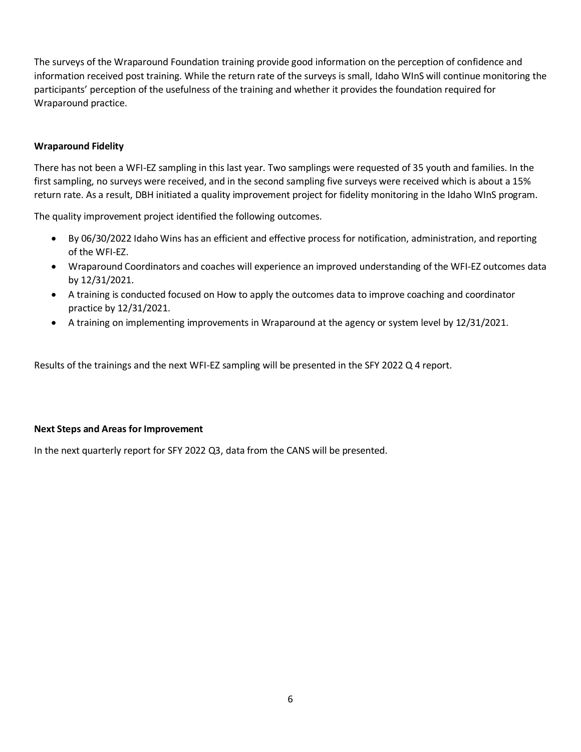The surveys of the Wraparound Foundation training provide good information on the perception of confidence and information received post training. While the return rate of the surveys is small, Idaho WInS will continue monitoring the participants' perception of the usefulness of the training and whether it provides the foundation required for Wraparound practice.

## **Wraparound Fidelity**

There has not been a WFI-EZ sampling in this last year. Two samplings were requested of 35 youth and families. In the first sampling, no surveys were received, and in the second sampling five surveys were received which is about a 15% return rate. As a result, DBH initiated a quality improvement project for fidelity monitoring in the Idaho WInS program.

The quality improvement project identified the following outcomes.

- By 06/30/2022 Idaho Wins has an efficient and effective process for notification, administration, and reporting of the WFI-EZ.
- Wraparound Coordinators and coaches will experience an improved understanding of the WFI-EZ outcomes data by 12/31/2021.
- A training is conducted focused on How to apply the outcomes data to improve coaching and coordinator practice by 12/31/2021.
- A training on implementing improvements in Wraparound at the agency or system level by 12/31/2021.

Results of the trainings and the next WFI-EZ sampling will be presented in the SFY 2022 Q 4 report.

#### **Next Steps and Areas for Improvement**

In the next quarterly report for SFY 2022 Q3, data from the CANS will be presented.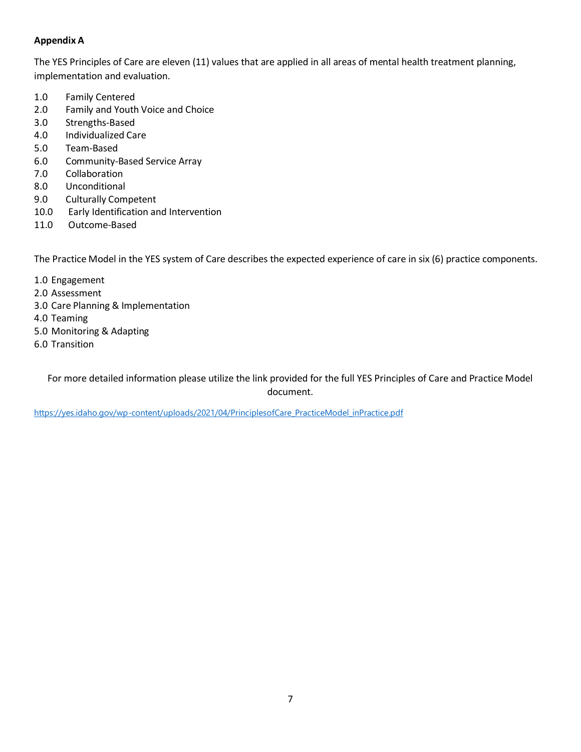## **Appendix A**

The YES Principles of Care are eleven (11) values that are applied in all areas of mental health treatment planning, implementation and evaluation.

- 1.0 Family Centered
- 2.0 Family and Youth Voice and Choice
- 3.0 Strengths-Based
- 4.0 Individualized Care
- 5.0 Team-Based
- 6.0 Community-Based Service Array
- 7.0 Collaboration
- 8.0 Unconditional
- 9.0 Culturally Competent
- 10.0 Early Identification and Intervention
- 11.0 Outcome-Based

The Practice Model in the YES system of Care describes the expected experience of care in six (6) practice components.

- 1.0 Engagement
- 2.0 Assessment
- 3.0 Care Planning & Implementation
- 4.0 Teaming
- 5.0 Monitoring & Adapting
- 6.0 Transition

For more detailed information please utilize the link provided for the full YES Principles of Care and Practice Model document.

[https://yes.idaho.gov/wp-content/uploads/2021/04/PrinciplesofCare\\_PracticeModel\\_inPractice.pdf](https://yes.idaho.gov/wp-content/uploads/2021/04/PrinciplesofCare_PracticeModel_inPractice.pdf)